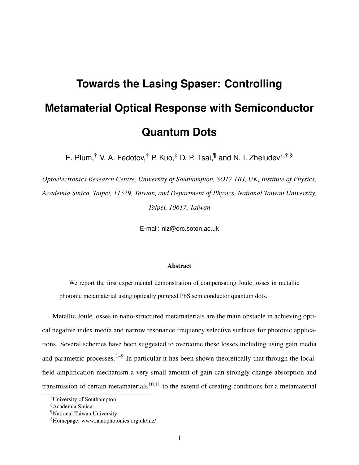## **Towards the Lasing Spaser: Controlling Metamaterial Optical Response with Semiconductor Quantum Dots**

E. Plum,<sup>†</sup> V. A. Fedotov,<sup>†</sup> P. Kuo,<sup>‡</sup> D. P. Tsai,<sup>¶</sup> and N. I. Zheludev<sup>\*,†,§</sup>

*Optoelectronics Research Centre, University of Southampton, SO17 1BJ, UK, Institute of Physics, Academia Sinica, Taipei, 11529, Taiwan, and Department of Physics, National Taiwan University, Taipei, 10617, Taiwan*

E-mail: niz@orc.soton.ac.uk

## Abstract

We report the first experimental demonstration of compensating Joule losses in metallic photonic metamaterial using optically pumped PbS semiconductor quantum dots.

Metallic Joule losses in nano-structured metamaterials are the main obstacle in achieving optical negative index media and narrow resonance frequency selective surfaces for photonic applications. Several schemes have been suggested to overcome these losses including using gain media and parametric processes.<sup>1–9</sup> In particular it has been shown theoretically that through the localfield amplification mechanism a very small amount of gain can strongly change absorption and transmission of certain metamaterials<sup>10,11</sup> to the extend of creating conditions for a metamaterial

<sup>†</sup>University of Southampton

<sup>‡</sup>Academia Sinica

<sup>¶</sup>National Taiwan University

<sup>§</sup>Homepage: www.nanophotonics.org.uk/niz/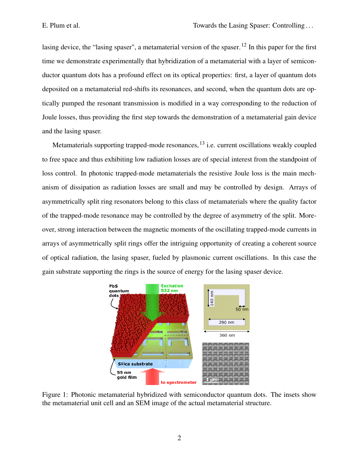lasing device, the "lasing spaser", a metamaterial version of the spaser.<sup>12</sup> In this paper for the first time we demonstrate experimentally that hybridization of a metamaterial with a layer of semiconductor quantum dots has a profound effect on its optical properties: first, a layer of quantum dots deposited on a metamaterial red-shifts its resonances, and second, when the quantum dots are optically pumped the resonant transmission is modified in a way corresponding to the reduction of Joule losses, thus providing the first step towards the demonstration of a metamaterial gain device and the lasing spaser.

Metamaterials supporting trapped-mode resonances,  $^{13}$  i.e. current oscillations weakly coupled to free space and thus exhibiting low radiation losses are of special interest from the standpoint of loss control. In photonic trapped-mode metamaterials the resistive Joule loss is the main mechanism of dissipation as radiation losses are small and may be controlled by design. Arrays of asymmetrically split ring resonators belong to this class of metamaterials where the quality factor of the trapped-mode resonance may be controlled by the degree of asymmetry of the split. Moreover, strong interaction between the magnetic moments of the oscillating trapped-mode currents in arrays of asymmetrically split rings offer the intriguing opportunity of creating a coherent source of optical radiation, the lasing spaser, fueled by plasmonic current oscillations. In this case the gain substrate supporting the rings is the source of energy for the lasing spaser device.



Figure 1: Photonic metamaterial hybridized with semiconductor quantum dots. The insets show the metamaterial unit cell and an SEM image of the actual metamaterial structure.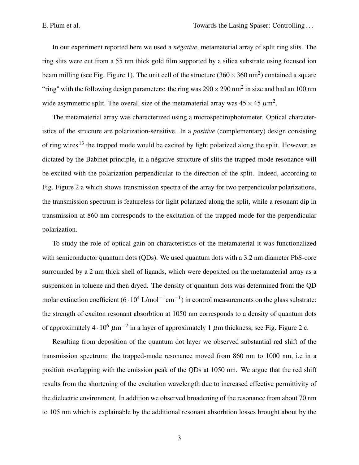In our experiment reported here we used a *négative*, metamaterial array of split ring slits. The ring slits were cut from a 55 nm thick gold film supported by a silica substrate using focused ion beam milling (see Fig. Figure 1). The unit cell of the structure  $(360 \times 360 \text{ nm}^2)$  contained a square "ring" with the following design parameters: the ring was  $290 \times 290$  nm<sup>2</sup> in size and had an 100 nm wide asymmetric split. The overall size of the metamaterial array was  $45 \times 45 \ \mu m^2$ .

The metamaterial array was characterized using a microspectrophotometer. Optical characteristics of the structure are polarization-sensitive. In a *positive* (complementary) design consisting of ring wires<sup>13</sup> the trapped mode would be excited by light polarized along the split. However, as dictated by the Babinet principle, in a négative structure of slits the trapped-mode resonance will be excited with the polarization perpendicular to the direction of the split. Indeed, according to Fig. Figure 2 a which shows transmission spectra of the array for two perpendicular polarizations, the transmission spectrum is featureless for light polarized along the split, while a resonant dip in transmission at 860 nm corresponds to the excitation of the trapped mode for the perpendicular polarization.

To study the role of optical gain on characteristics of the metamaterial it was functionalized with semiconductor quantum dots (QDs). We used quantum dots with a 3.2 nm diameter PbS-core surrounded by a 2 nm thick shell of ligands, which were deposited on the metamaterial array as a suspension in toluene and then dryed. The density of quantum dots was determined from the QD molar extinction coefficient  $(6 \cdot 10^4 \text{ L/mol}^{-1} \text{cm}^{-1})$  in control measurements on the glass substrate: the strength of exciton resonant absorbtion at 1050 nm corresponds to a density of quantum dots of approximately 4 $\cdot 10^6 \mu m^{-2}$  in a layer of approximately 1  $\mu$ m thickness, see Fig. Figure 2 c.

Resulting from deposition of the quantum dot layer we observed substantial red shift of the transmission spectrum: the trapped-mode resonance moved from 860 nm to 1000 nm, i.e in a position overlapping with the emission peak of the QDs at 1050 nm. We argue that the red shift results from the shortening of the excitation wavelength due to increased effective permittivity of the dielectric environment. In addition we observed broadening of the resonance from about 70 nm to 105 nm which is explainable by the additional resonant absorbtion losses brought about by the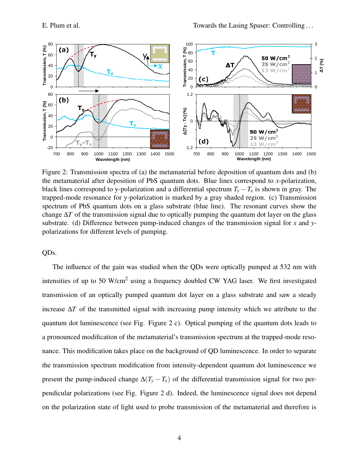

Figure 2: Transmission spectra of (a) the metamaterial before deposition of quantum dots and (b) the metamaterial after deposition of PbS quantum dots. Blue lines correspond to *x*-polarization, black lines correspond to y-polarization and a differential spectrum  $T_v - T_x$  is shown in gray. The trapped-mode resonance for y-polarization is marked by a gray shaded region. (c) Transmission spectrum of PbS quantum dots on a glass substrate (blue line). The resonant curves show the change  $\Delta T$  of the transmission signal due to optically pumping the quantum dot layer on the glass substrate. (d) Difference between pump-induced changes of the transmission signal for *x* and *y*polarizations for different levels of pumping.

QDs.

The influence of the gain was studied when the QDs were optically pumped at 532 nm with intensities of up to 50 W/cm<sup>2</sup> using a frequency doubled CW YAG laser. We first investigated transmission of an optically pumped quantum dot layer on a glass substrate and saw a steady increase ∆*T* of the transmitted signal with increasing pump intensity which we attribute to the quantum dot luminescence (see Fig. Figure 2 c). Optical pumping of the quantum dots leads to a pronounced modification of the metamaterial's transmission spectrum at the trapped-mode resonance. This modification takes place on the background of QD luminescence. In order to separate the transmission spectrum modification from intensity-dependent quantum dot luminescence we present the pump-induced change  $\Delta(T_y - T_x)$  of the differential transmission signal for two perpendicular polarizations (see Fig. Figure 2 d). Indeed, the luminescence signal does not depend on the polarization state of light used to probe transmission of the metamaterial and therefore is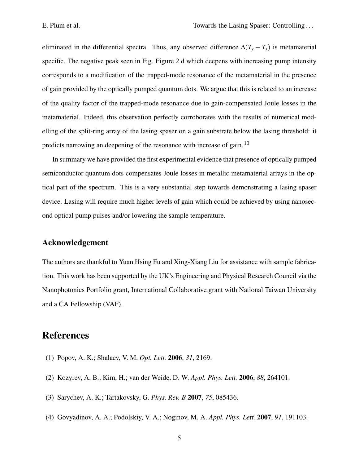eliminated in the differential spectra. Thus, any observed difference  $\Delta(T_y - T_x)$  is metamaterial specific. The negative peak seen in Fig. Figure 2 d which deepens with increasing pump intensity corresponds to a modification of the trapped-mode resonance of the metamaterial in the presence of gain provided by the optically pumped quantum dots. We argue that this is related to an increase of the quality factor of the trapped-mode resonance due to gain-compensated Joule losses in the metamaterial. Indeed, this observation perfectly corroborates with the results of numerical modelling of the split-ring array of the lasing spaser on a gain substrate below the lasing threshold: it predicts narrowing an deepening of the resonance with increase of gain.<sup>10</sup>

In summary we have provided the first experimental evidence that presence of optically pumped semiconductor quantum dots compensates Joule losses in metallic metamaterial arrays in the optical part of the spectrum. This is a very substantial step towards demonstrating a lasing spaser device. Lasing will require much higher levels of gain which could be achieved by using nanosecond optical pump pulses and/or lowering the sample temperature.

## Acknowledgement

The authors are thankful to Yuan Hsing Fu and Xing-Xiang Liu for assistance with sample fabrication. This work has been supported by the UK's Engineering and Physical Research Council via the Nanophotonics Portfolio grant, International Collaborative grant with National Taiwan University and a CA Fellowship (VAF).

## **References**

- (1) Popov, A. K.; Shalaev, V. M. *Opt. Lett.* 2006, *31*, 2169.
- (2) Kozyrev, A. B.; Kim, H.; van der Weide, D. W. *Appl. Phys. Lett.* 2006, *88*, 264101.
- (3) Sarychev, A. K.; Tartakovsky, G. *Phys. Rev. B* 2007, *75*, 085436.
- (4) Govyadinov, A. A.; Podolskiy, V. A.; Noginov, M. A. *Appl. Phys. Lett.* 2007, *91*, 191103.